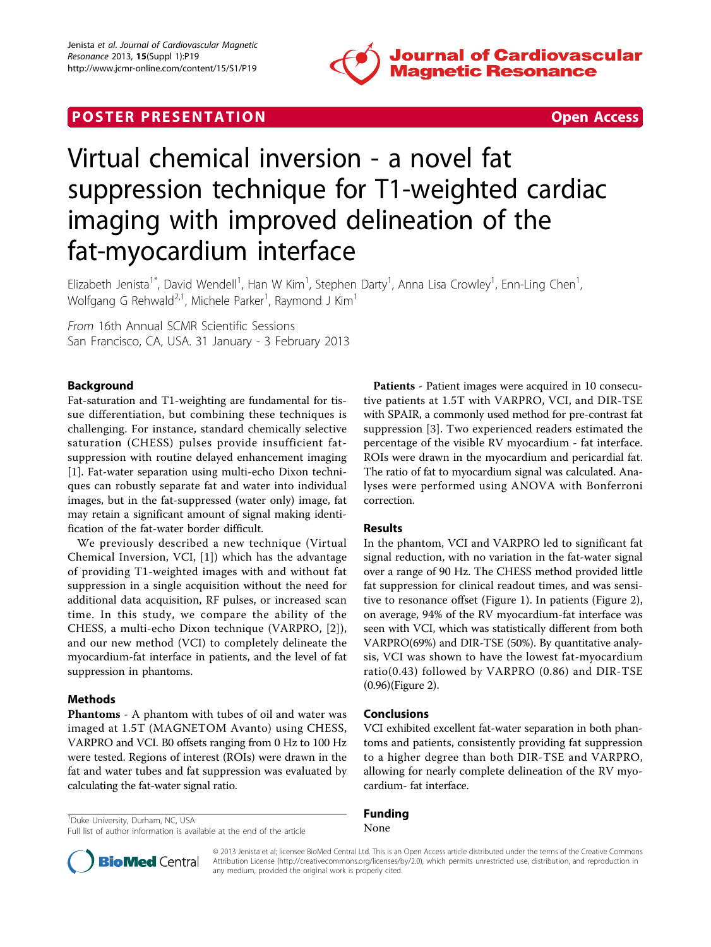

# **POSTER PRESENTATION CONSUMING THE SECOND CONSUMING THE SECOND CONSUMING THE SECOND CONSUMING THE SECOND CONSUMING THE SECOND CONSUMING THE SECOND CONSUMING THE SECOND CONSUMING THE SECOND CONSUMING THE SECOND CONSUMING**



# Virtual chemical inversion - a novel fat suppression technique for T1-weighted cardiac imaging with improved delineation of the fat-myocardium interface

Elizabeth Jenista<sup>1\*</sup>, David Wendell<sup>1</sup>, Han W Kim<sup>1</sup>, Stephen Darty<sup>1</sup>, Anna Lisa Crowley<sup>1</sup>, Enn-Ling Chen<sup>1</sup> , Wolfgang G Rehwald $^{2,1}$ , Michele Parker $^1$ , Raymond J Kim $^1$ 

From 16th Annual SCMR Scientific Sessions San Francisco, CA, USA. 31 January - 3 February 2013

# Background

Fat-saturation and T1-weighting are fundamental for tissue differentiation, but combining these techniques is challenging. For instance, standard chemically selective saturation (CHESS) pulses provide insufficient fatsuppression with routine delayed enhancement imaging [[1\]](#page-2-0). Fat-water separation using multi-echo Dixon techniques can robustly separate fat and water into individual images, but in the fat-suppressed (water only) image, fat may retain a significant amount of signal making identification of the fat-water border difficult.

We previously described a new technique (Virtual Chemical Inversion, VCI, [[1](#page-2-0)]) which has the advantage of providing T1-weighted images with and without fat suppression in a single acquisition without the need for additional data acquisition, RF pulses, or increased scan time. In this study, we compare the ability of the CHESS, a multi-echo Dixon technique (VARPRO, [[2\]](#page-2-0)), and our new method (VCI) to completely delineate the myocardium-fat interface in patients, and the level of fat suppression in phantoms.

# Methods

Phantoms - A phantom with tubes of oil and water was imaged at 1.5T (MAGNETOM Avanto) using CHESS, VARPRO and VCI. B0 offsets ranging from 0 Hz to 100 Hz were tested. Regions of interest (ROIs) were drawn in the fat and water tubes and fat suppression was evaluated by calculating the fat-water signal ratio.

<sup>1</sup>Duke University, Durham, NC, USA

Patients - Patient images were acquired in 10 consecutive patients at 1.5T with VARPRO, VCI, and DIR-TSE with SPAIR, a commonly used method for pre-contrast fat suppression [\[3](#page-2-0)]. Two experienced readers estimated the percentage of the visible RV myocardium - fat interface. ROIs were drawn in the myocardium and pericardial fat. The ratio of fat to myocardium signal was calculated. Analyses were performed using ANOVA with Bonferroni correction.

## Results

In the phantom, VCI and VARPRO led to significant fat signal reduction, with no variation in the fat-water signal over a range of 90 Hz. The CHESS method provided little fat suppression for clinical readout times, and was sensitive to resonance offset (Figure [1\)](#page-1-0). In patients (Figure [2](#page-1-0)), on average, 94% of the RV myocardium-fat interface was seen with VCI, which was statistically different from both VARPRO(69%) and DIR-TSE (50%). By quantitative analysis, VCI was shown to have the lowest fat-myocardium ratio(0.43) followed by VARPRO (0.86) and DIR-TSE (0.96)(Figure [2\)](#page-1-0).

## Conclusions

VCI exhibited excellent fat-water separation in both phantoms and patients, consistently providing fat suppression to a higher degree than both DIR-TSE and VARPRO, allowing for nearly complete delineation of the RV myocardium- fat interface.

#### Funding None



© 2013 Jenista et al; licensee BioMed Central Ltd. This is an Open Access article distributed under the terms of the Creative Commons Attribution License [\(http://creativecommons.org/licenses/by/2.0](http://creativecommons.org/licenses/by/2.0)), which permits unrestricted use, distribution, and reproduction in any medium, provided the original work is properly cited.

Full list of author information is available at the end of the article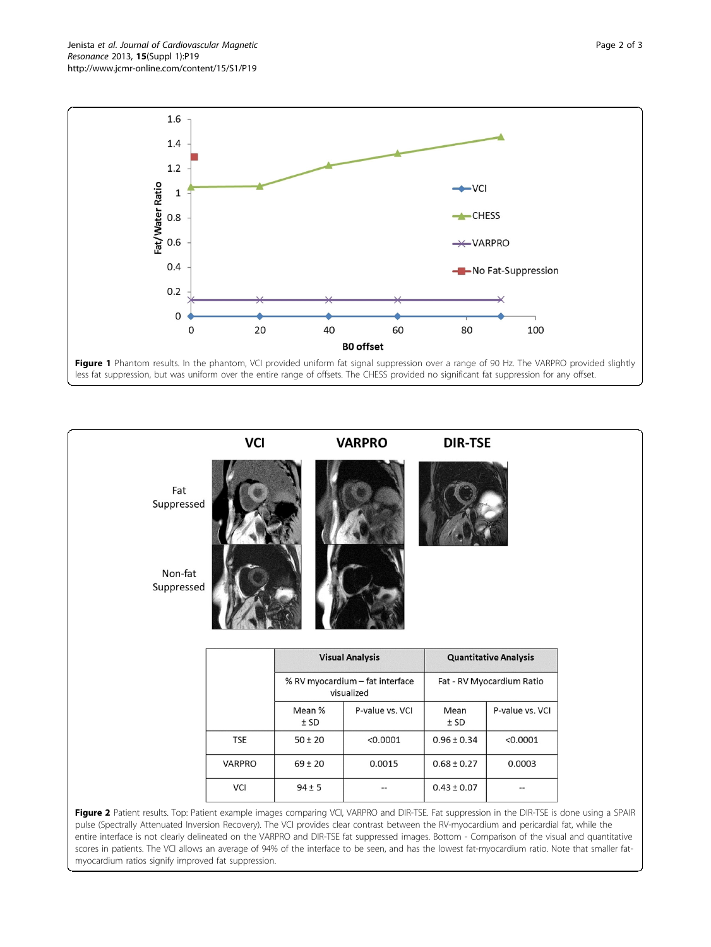<span id="page-1-0"></span>Jenista et al. Journal of Cardiovascular Magnetic Resonance 2013, 15(Suppl 1):P19 http://www.jcmr-online.com/content/15/S1/P19



|                       | <b>VCI</b> |                  | <b>VARPRO</b>                                 | <b>DIR-TSE</b>  |                              |
|-----------------------|------------|------------------|-----------------------------------------------|-----------------|------------------------------|
| Fat<br>Suppressed     |            |                  |                                               |                 |                              |
| Non-fat<br>Suppressed |            |                  |                                               |                 |                              |
|                       |            |                  |                                               |                 |                              |
|                       |            |                  | <b>Visual Analysis</b>                        |                 | <b>Quantitative Analysis</b> |
|                       |            |                  | % RV myocardium - fat interface<br>visualized |                 | Fat - RV Myocardium Ratio    |
|                       |            | Mean %<br>$±$ SD | P-value vs. VCI                               | Mean<br>± SD    | P-value vs. VCI              |
|                       | <b>TSE</b> | $50 \pm 20$      | < 0.0001                                      | $0.96 \pm 0.34$ | < 0.0001                     |
|                       | VARPRO     | $69 \pm 20$      | 0.0015                                        | $0.68 \pm 0.27$ | 0.0003                       |

entire interface is not clearly delineated on the VARPRO and DIR-TSE fat suppressed images. Bottom - Comparison of the visual and quantitative scores in patients. The VCI allows an average of 94% of the interface to be seen, and has the lowest fat-myocardium ratio. Note that smaller fatmyocardium ratios signify improved fat suppression.